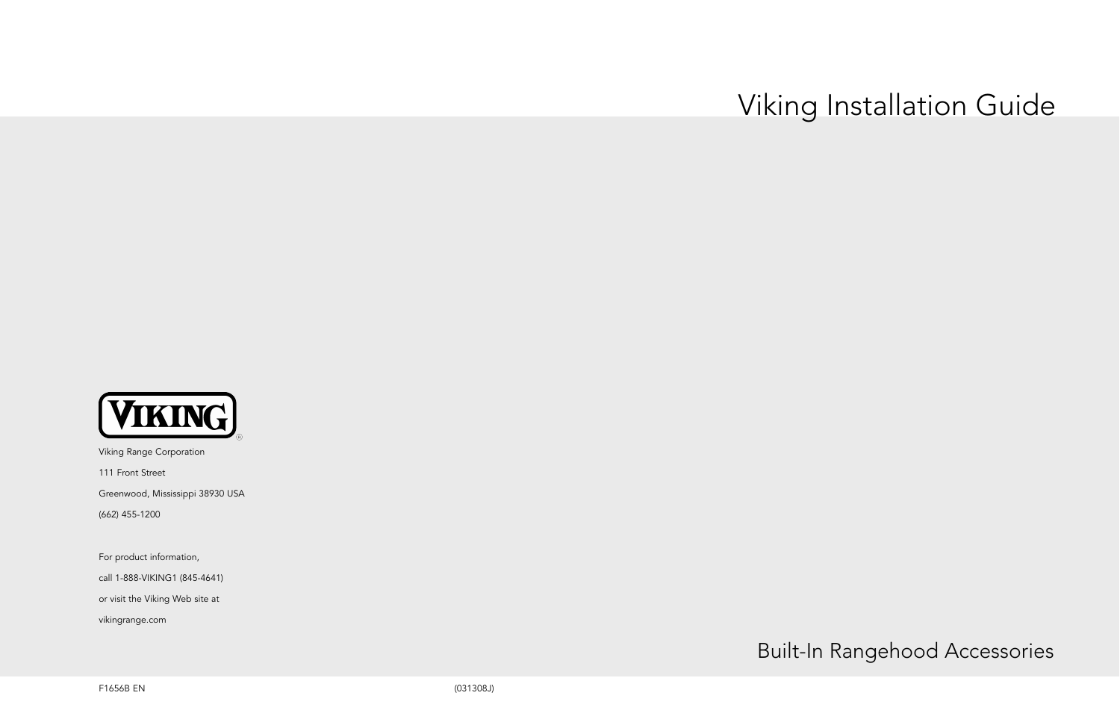# Viking Installation Guide

Built-In Rangehood Accessories



Viking Range Corporation

111 Front Street

Greenwood, Mississippi 38930 USA

(662) 455-1200

For product information,

call 1-888-VIKING1 (845-4641)

or visit the Viking Web site at

vikingrange.com